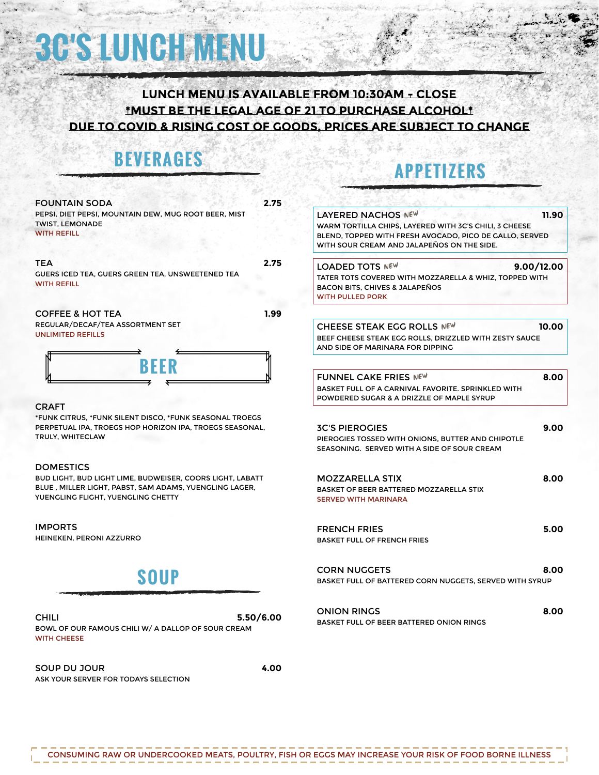# **3C'S LUNCH MENU**

# **lunch menu is available from 10:30am - close \*must be the legal age of 21 to purchase alcohol\* due to covid & rising cost of goods, prices are subject to change**

# **BEVERAGES**

# **APPETIZER**

| <b>FOUNTAIN SODA</b>                                                                                                                                                          | 2.75 |                                                                           |
|-------------------------------------------------------------------------------------------------------------------------------------------------------------------------------|------|---------------------------------------------------------------------------|
| PEPSI, DIET PEPSI, MOUNTAIN DEW, MUG ROOT BEER, MIST<br><b>TWIST, LEMONADE</b><br><b>WITH REFILL</b>                                                                          |      | LAYERED<br><b>WARM TOF</b><br><b>BLEND, TO</b><br><b>WITH SOUR</b>        |
| <b>TEA</b><br><b>GUERS ICED TEA, GUERS GREEN TEA, UNSWEETENED TEA</b><br><b>WITH REFILL</b>                                                                                   | 2.75 | <b>LOADED</b><br><b>TATER TOT</b><br><b>BACON BIT</b><br><b>WITH PULL</b> |
| <b>COFFEE &amp; HOT TEA</b>                                                                                                                                                   | 1.99 |                                                                           |
| REGULAR/DECAF/TEA ASSORTMENT SET<br><b>UNLIMITED REFILLS</b>                                                                                                                  |      | <b>CHEESE</b><br><b>BEEF CHEE</b><br>AND SIDE (                           |
| <b>BEER</b>                                                                                                                                                                   |      | <b>FUNNEL</b><br><b>BASKET FU</b><br><b>POWDEREI</b>                      |
| <b>CRAFT</b>                                                                                                                                                                  |      |                                                                           |
| *FUNK CITRUS. *FUNK SILENT DISCO. *FUNK SEASONAL TROEGS<br>PERPETUAL IPA, TROEGS HOP HORIZON IPA, TROEGS SEASONAL,<br>TRULY, WHITECLAW                                        |      | <b>3C'S PIEI</b><br><b>PIEROGIES</b><br><b>SEASONIN</b>                   |
| <b>DOMESTICS</b><br>BUD LIGHT, BUD LIGHT LIME, BUDWEISER, COORS LIGHT, LABATT<br>BLUE, MILLER LIGHT, PABST, SAM ADAMS, YUENGLING LAGER,<br>YUENGLING FLIGHT, YUENGLING CHETTY |      | <b>MOZZAF</b><br><b>BASKET OF</b><br><b>SERVED W</b>                      |
| <b>IMPORTS</b>                                                                                                                                                                |      | <b>FRENCH</b>                                                             |

HEINEKEN, PERONI AZZURRO

# **SOUP**

CHILI **5.50/6.00** BOWL OF OUR FAMOUS CHILI W/ A DALLOP OF SOUR CREAM WITH CHEESE

SOUP DU JOUR **4.00** ASK YOUR SERVER FOR TODAYS SELECTION

| LAYERED NACHOS NEW                                      | 11.90 |
|---------------------------------------------------------|-------|
| WARM TORTILLA CHIPS, LAYERED WITH 3C'S CHILI, 3 CHEESE  |       |
| BLEND, TOPPED WITH FRESH AVOCADO, PICO DE GALLO, SERVED |       |
| WITH SOUR CREAM AND JALAPEÑOS ON THE SIDE.              |       |
|                                                         |       |
| 9.00/12.00<br>LOADED TOTS NEW                           |       |
| TATER TOTS COVERED WITH MOZZARELLA & WHIZ. TOPPED WITH  |       |
| BACON BITS, CHIVES & JALAPEÑOS                          |       |
| <b>WITH PULLED PORK</b>                                 |       |
|                                                         |       |
| CHEESE STEAK EGG ROLLS NEW                              | 10.00 |
| BEEF CHEESE STEAK EGG ROLLS. DRIZZLED WITH ZESTY SAUCE  |       |
| AND SIDE OF MARINARA FOR DIPPING                        |       |
|                                                         |       |
|                                                         |       |
| FUNNEL CAKE FRIES NEW                                   | 8.00  |
| BASKET FULL OF A CARNIVAL FAVORITE. SPRINKLED WITH      |       |
| POWDERED SUGAR & A DRIZZLE OF MAPLE SYRUP               |       |
|                                                         |       |
| <b>3C'S PIEROGIES</b>                                   | 9.00  |
| PIEROGIES TOSSED WITH ONIONS. BUTTER AND CHIPOTLE       |       |
| SEASONING. SERVED WITH A SIDE OF SOUR CREAM             |       |
|                                                         |       |
|                                                         |       |
| <b>MOZZARELLA STIX</b>                                  | 8.00  |
| BASKET OF BEER BATTERED MOZZARELLA STIX                 |       |
| <b>SERVED WITH MARINARA</b>                             |       |
|                                                         |       |
| <b>FRENCH FRIES</b>                                     | 5.00  |
| <b>BASKET FULL OF FRENCH FRIES</b>                      |       |
|                                                         |       |
|                                                         |       |
| <b>CORN NUGGETS</b>                                     | 8.00  |
| BASKET FULL OF BATTERED CORN NUGGETS. SERVED WITH SYRUP |       |
|                                                         |       |

ONION RINGS **8.00** BASKET FULL OF BEER BATTERED ONION RINGS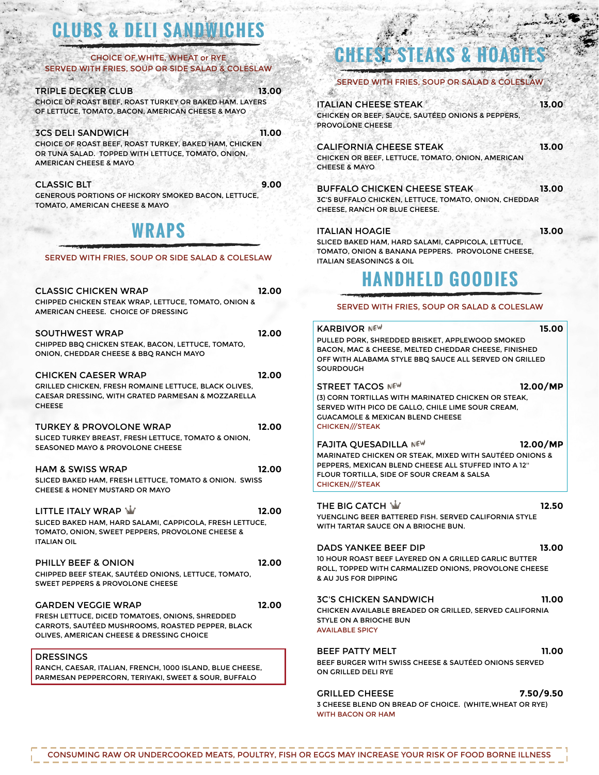# **CLUBS & DELI SANDWICHES**

#### CHOICE OF WHITE, WHEAT or RYE SERVED WITH FRIES, SOUP OR SIDE SALAD & COLESLAW C.

## TRIPLE DECKER CLUB **13.00**

CHOICE OF ROAST BEEF, ROAST TURKEY OR BAKED HAM. LAYERS OF LETTUCE, TOMATO, BACON, AMERICAN CHEESE & MAYO

### 3CS DELI SANDWICH **11.00**

CHOICE OF ROAST BEEF, ROAST TURKEY, BAKED HAM, CHICKEN OR TUNA SALAD. TOPPED WITH LETTUCE, TOMATO, ONION, AMERICAN CHEESE & MAYO

### CLASSIC BLT **9.00**

GENEROUS PORTIONS OF HICKORY SMOKED BACON, LETTUCE, TOMATO, AMERICAN CHEESE & MAYO

**WRAPS**

### SERVED WITH FRIES, SOUP OR SIDE SALAD & COLESLAW

| <b>CLASSIC CHICKEN WRAP</b><br><b>CHIPPED CHICKEN STEAK WRAP, LETTUCE, TOMATO, ONION &amp;</b><br>AMERICAN CHEESE. CHOICE OF DRESSING                                                 | 12.00 |  |
|---------------------------------------------------------------------------------------------------------------------------------------------------------------------------------------|-------|--|
| <b>SOUTHWEST WRAP</b><br>CHIPPED BBQ CHICKEN STEAK, BACON, LETTUCE, TOMATO,<br>ONION, CHEDDAR CHEESE & BBO RANCH MAYO                                                                 | 12.00 |  |
| <b>CHICKEN CAESER WRAP</b><br>GRILLED CHICKEN, FRESH ROMAINE LETTUCE, BLACK OLIVES,<br><b>CAESAR DRESSING. WITH GRATED PARMESAN &amp; MOZZARELLA</b><br><b>CHEESE</b>                 | 12.00 |  |
| <b>TURKEY &amp; PROVOLONE WRAP</b><br>SLICED TURKEY BREAST, FRESH LETTUCE, TOMATO & ONION,<br><b>SEASONED MAYO &amp; PROVOLONE CHEESE</b>                                             | 12.00 |  |
| <b>HAM &amp; SWISS WRAP</b><br>SLICED BAKED HAM, FRESH LETTUCE, TOMATO & ONION. SWISS<br><b>CHEESE &amp; HONEY MUSTARD OR MAYO</b>                                                    | 12.00 |  |
| LITTLE ITALY WRAP W<br>SLICED BAKED HAM, HARD SALAMI, CAPPICOLA, FRESH LETTUCE,<br>TOMATO, ONION, SWEET PEPPERS, PROVOLONE CHEESE &<br><b>ITALIAN OIL</b>                             | 12.00 |  |
| <b>PHILLY BEEF &amp; ONION</b><br>CHIPPED BEEF STEAK. SAUTÉED ONIONS. LETTUCE. TOMATO.<br><b>SWEET PEPPERS &amp; PROVOLONE CHEESE</b>                                                 | 12.00 |  |
| <b>GARDEN VEGGIE WRAP</b><br>FRESH LETTUCE, DICED TOMATOES, ONIONS, SHREDDED<br><b>CARROTS, SAUTÉED MUSHROOMS, ROASTED PEPPER, BLACK</b><br>OLIVES. AMERICAN CHEESE & DRESSING CHOICE | 12.00 |  |
| <b>DRESSINGS</b><br>RANCH, CAESAR, ITALIAN, FRENCH, 1000 ISLAND, BLUE CHEESE,                                                                                                         |       |  |

# PARMESAN PEPPERCORN, TERIYAKI, SWEET & SOUR, BUFFALO

# **CHEESE STEAKS & HOAGIES**

# SERVED WITH FRIES, SOUP OR SALAD & COLESL

| <b>ITALIAN CHEESE STEAK</b><br>13.00              |
|---------------------------------------------------|
| CHICKEN OR BEEF, SAUCE, SAUTÉED ONIONS & PEPPERS, |
| PROVOLONE CHEESE                                  |
|                                                   |

tan a

CALIFORNIA CHEESE STEAK **13.00** CHICKEN OR BEEF, LETTUCE, TOMATO, ONION, AMERICAN CHEESE & MAYO

#### BUFFALO CHICKEN CHEESE STEAK **13.00** 3C'S BUFFALO CHICKEN, LETTUCE, TOMATO, ONION, CHEDDAR CHEESE, RANCH OR BLUE CHEESE.

ITALIAN HOAGIE **13.00**

도시할 수 있다.

SLICED BAKED HAM, HARD SALAMI, CAPPICOLA, LETTUCE, TOMATO, ONION & BANANA PEPPERS. PROVOLONE CHEESE, ITALIAN SEASONINGS & OIL

# **HANDHELD GOODIES**

## SERVED WITH FRIES, SOUP OR SALAD & COLESLAW

| <b>KARBIVOR NEW</b><br>PULLED PORK, SHREDDED BRISKET, APPLEWOOD SMOKED<br>BACON, MAC & CHEESE, MELTED CHEDDAR CHEESE, FINISHED<br>OFF WITH ALABAMA STYLE BBQ SAUCE ALL SERVED ON GRILLED<br><b>SOURDOUGH</b>                       | 15.00    |
|------------------------------------------------------------------------------------------------------------------------------------------------------------------------------------------------------------------------------------|----------|
| <b>STREET TACOS NEW</b><br>(3) CORN TORTILLAS WITH MARINATED CHICKEN OR STEAK.<br>SERVED WITH PICO DE GALLO. CHILE LIME SOUR CREAM.<br><b>GUACAMOLE &amp; MEXICAN BLEND CHEESE</b><br><b>CHICKEN///STEAK</b>                       | 12.00/MP |
| <b>FAJITA OUESADILLA NEW</b><br><b>MARINATED CHICKEN OR STEAK. MIXED WITH SAUTÉED ONIONS &amp;</b><br>PEPPERS. MEXICAN BLEND CHEESE ALL STUFFED INTO A 12"<br>FLOUR TORTILLA. SIDE OF SOUR CREAM & SALSA<br><b>CHICKEN///STEAK</b> | 12.00/MP |
| THE BIG CATCH W<br>YUENGLING BEER BATTERED FISH. SERVED CALIFORNIA STYLE<br>WITH TARTAR SAUCE ON A BRIOCHE BUN.                                                                                                                    | 12.50    |
| <b>DADS YANKEE BEEF DIP</b><br>10 HOUR ROAST BEEF LAYERED ON A GRILLED GARLIC BUTTER<br>ROLL. TOPPED WITH CARMALIZED ONIONS. PROVOLONE CHEESE<br>& AU JUS FOR DIPPING                                                              | 13.00    |
| <b>3C'S CHICKEN SANDWICH</b><br>CHICKEN AVAILABLE BREADED OR GRILLED. SERVED CALIFORNIA<br>STYLE ON A BRIOCHE BUN<br><b>AVAILABLE SPICY</b>                                                                                        | 11.00    |
| <b>BEEF PATTY MELT</b><br>BEEF BURGER WITH SWISS CHEESE & SAUTÉED ONIONS SERVED                                                                                                                                                    | 11.00    |

# BEEF BURGER WITH SWISS CHEESE & SAUTÉED ONIONS SERVED ON GRILLED DELI RYE

GRILLED CHEESE **7.50/9.50** 3 CHEESE BLEND ON BREAD OF CHOICE. (WHITE,WHEAT OR RYE) WITH BACON OR HAM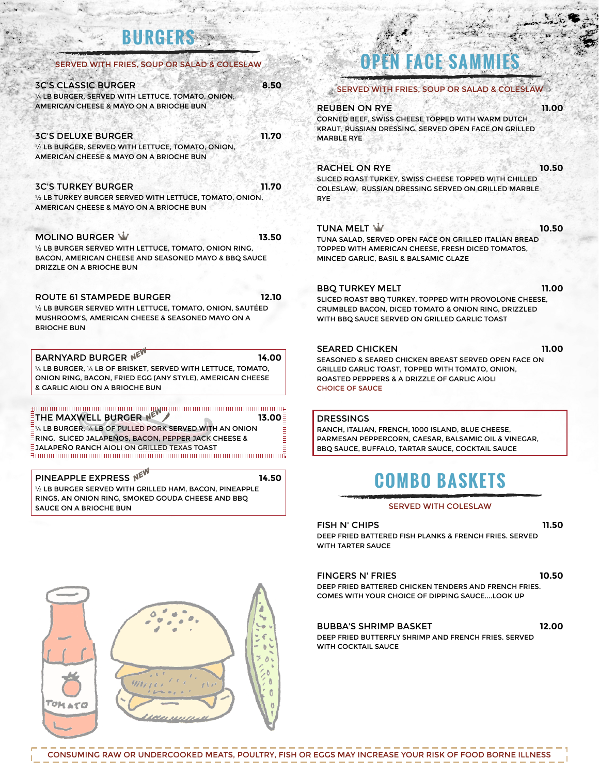# **BURGERS**

| SERVED WITH FRIES, SOUP OR SALAD & COLESLAW                                                                                                                                                 |       |
|---------------------------------------------------------------------------------------------------------------------------------------------------------------------------------------------|-------|
| <b>3C'S CLASSIC BURGER</b><br>1/4 LB BURGER, SERVED WITH LETTUCE, TOMATO, ONION,<br>AMERICAN CHEESE & MAYO ON A BRIOCHE BUN                                                                 | 8.50  |
| <b>3C'S DELUXE BURGER</b><br>1/2 LB BURGER, SERVED WITH LETTUCE, TOMATO, ONION,<br>AMERICAN CHEESE & MAYO ON A BRIOCHE BUN                                                                  | 11.70 |
| <b>3C'S TURKEY BURGER</b><br>1/2 LB TURKEY BURGER SERVED WITH LETTUCE, TOMATO, ONION,<br>AMERICAN CHEESE & MAYO ON A BRIOCHE BUN                                                            | 11.70 |
| <b>MOLINO BURGER W</b><br>1/2 LB BURGER SERVED WITH LETTUCE. TOMATO, ONION RING.<br>BACON, AMERICAN CHEESE AND SEASONED MAYO & BBQ SAUCE<br>DRIZZLE ON A BRIOCHE BUN                        | 13.50 |
| ROUTE 61 STAMPEDE BURGER                                                                                                                                                                    | 12.10 |
| 1/2 LB BURGER SERVED WITH LETTUCE, TOMATO, ONION, SAUTÉED<br>MUSHROOM'S, AMERICAN CHEESE & SEASONED MAYO ON A<br><b>BRIOCHE BUN</b>                                                         |       |
| <b>BARNYARD BURGER NE</b><br>1/4 LB BURGER, 1/4 LB OF BRISKET, SERVED WITH LETTUCE, TOMATO,<br>ONION RING, BACON, FRIED EGG (ANY STYLE), AMERICAN CHEESE<br>& GARLIC AIOLI ON A BRIOCHE BUN | 14.00 |
| THE MAXWELL BURGER NE<br>1/4 LB BURGER, 1/4 LB OF PULLED PORK SERVED WITH AN ONION<br>RING, SLICED JALAPEÑOS, BACON, PEPPER JACK CHEESE &<br>JALAPEÑO RANCH AIOLI ON GRILLED TEXAS TOAST    | 13.00 |

# **OPEN FACE SAMMIES**

| $\ast$ SERVED WITH FRIES. SOUP OR SALAD & COLESLAW $\odot$                |       |
|---------------------------------------------------------------------------|-------|
| <b>REUBEN ON RYE</b>                                                      | 11.00 |
| CORNED BEEF, SWISS CHEESE TOPPED WITH WARM DUTCH                          |       |
| KRAUT, RUSSIAN DRESSING. SERVED OPEN FACE ON GRILLED<br><b>MARBLE RYE</b> |       |
| <b>RACHEL ON RYE</b>                                                      | 10.50 |
| SLICED ROAST TURKEY, SWISS CHEESE TOPPED WITH CHILLED                     |       |
| COLESLAW, RUSSIAN DRESSING SERVED ON GRILLED MARBLE<br><b>RYE</b>         |       |
| TUNA MELT $\mathbf{\dot{W}}$                                              | 10.50 |
|                                                                           |       |

TUNA SALAD, SERVED OPEN FACE ON GRILLED ITALIAN BREAD TOPPED WITH AMERICAN CHEESE, FRESH DICED TOMATOS, MINCED GARLIC, BASIL & BALSAMIC GLAZE

# BBQ TURKEY MELT **11.00**

SLICED ROAST BBQ TURKEY, TOPPED WITH PROVOLONE CHEESE, CRUMBLED BACON, DICED TOMATO & ONION RING, DRIZZLED WITH BBQ SAUCE SERVED ON GRILLED GARLIC TOAST

# SEARED CHICKEN **11.00**

SEASONED & SEARED CHICKEN BREAST SERVED OPEN FACE ON GRILLED GARLIC TOAST, TOPPED WITH TOMATO, ONION, ROASTED PEPPPERS & A DRIZZLE OF GARLIC AIOLI CHOICE OF SAUCE

DRESSINGS

RANCH, ITALIAN, FRENCH, 1000 ISLAND, BLUE CHEESE, PARMESAN PEPPERCORN, CAESAR, BALSAMIC OIL & VINEGAR, BBQ SAUCE, BUFFALO, TARTAR SAUCE, COCKTAIL SAUCE

# **COMBO BASKETS**

## SERVED WITH COLESLAW

FISH N' CHIPS **11.50**

DEEP FRIED BATTERED FISH PLANKS & FRENCH FRIES. SERVED WITH TARTER SAUCE

## FINGERS N' FRIES **10.50**

DEEP FRIED BATTERED CHICKEN TENDERS AND FRENCH FRIES. COMES WITH YOUR CHOICE OF DIPPING SAUCE....LOOK UP

# BUBBA'S SHRIMP BASKET **12.00**

DEEP FRIED BUTTERFLY SHRIMP AND FRENCH FRIES. SERVED WITH COCKTAIL SAUCE